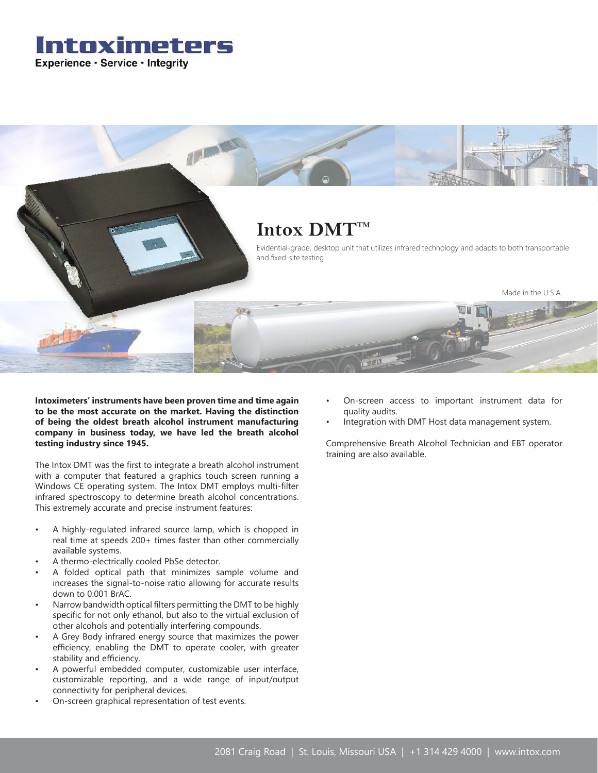# Intoximeters Experience · Service · Integrity



**Intoximeters' instruments have been proven time and time again to be the most accurate on the market. Having the distinction of being the oldest breath alcohol instrument manufacturing company in business today, we have led the breath alcohol testing industry since 1945.**

The Intox DMT was the first to integrate a breath alcohol instrument with a computer that featured a graphics touch screen running a Windows CE operating system. The Intox DMT employs multi-filter infrared spectroscopy to determine breath alcohol concentrations. This extremely accurate and precise instrument features:

- A highly-regulated infrared source lamp, which is chopped in real time at speeds 200+ times faster than other commercially available systems.
- A thermo-electrically cooled PbSe detector.
- A folded optical path that minimizes sample volume and increases the signal-to-noise ratio allowing for accurate results down to 0.001 BrAC.
- Narrow bandwidth optical filters permitting the DMT to be highly specific for not only ethanol, but also to the virtual exclusion of other alcohols and potentially interfering compounds.
- A Grey Body infrared energy source that maximizes the power efficiency, enabling the DMT to operate cooler, with greater stability and efficiency.
- A powerful embedded computer, customizable user interface, customizable reporting, and a wide range of input/output connectivity for peripheral devices.
- On-screen graphical representation of test events.
- On-screen access to important instrument data for quality audits.
- Integration with DMT Host data management system.

Comprehensive Breath Alcohol Technician and EBT operator training are also available.